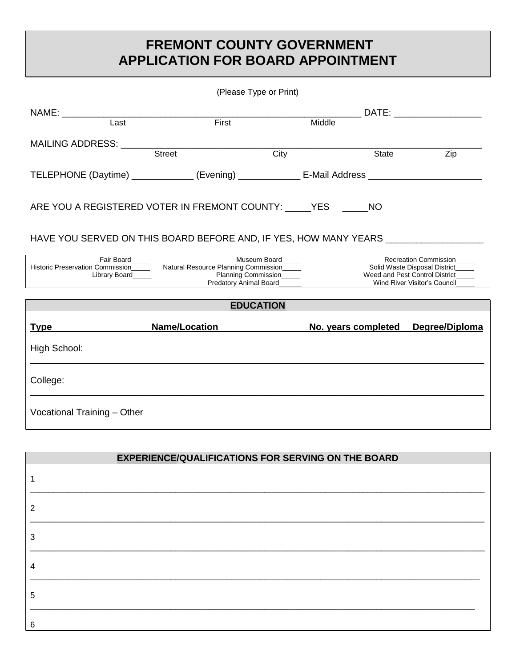## **FREMONT COUNTY GOVERNMENT APPLICATION FOR BOARD APPOINTMENT**

| (Please Type or Print)                                                                              |                                                                                                                                                                                          |        |                                                                                                                                 |                                                                                                                                                                                                                                |  |  |  |
|-----------------------------------------------------------------------------------------------------|------------------------------------------------------------------------------------------------------------------------------------------------------------------------------------------|--------|---------------------------------------------------------------------------------------------------------------------------------|--------------------------------------------------------------------------------------------------------------------------------------------------------------------------------------------------------------------------------|--|--|--|
|                                                                                                     |                                                                                                                                                                                          |        |                                                                                                                                 | DATE: the contract of the contract of the contract of the contract of the contract of the contract of the contract of the contract of the contract of the contract of the contract of the contract of the contract of the cont |  |  |  |
| Last                                                                                                | First                                                                                                                                                                                    | Middle |                                                                                                                                 |                                                                                                                                                                                                                                |  |  |  |
| MAILING ADDRESS: WALLING                                                                            |                                                                                                                                                                                          |        |                                                                                                                                 |                                                                                                                                                                                                                                |  |  |  |
|                                                                                                     | <b>Street</b>                                                                                                                                                                            | City   | State                                                                                                                           | Zip                                                                                                                                                                                                                            |  |  |  |
| TELEPHONE (Daytime) _____________ (Evening) _____________ E-Mail Address __________________________ |                                                                                                                                                                                          |        |                                                                                                                                 |                                                                                                                                                                                                                                |  |  |  |
| ARE YOU A REGISTERED VOTER IN FREMONT COUNTY: YES NO                                                |                                                                                                                                                                                          |        |                                                                                                                                 |                                                                                                                                                                                                                                |  |  |  |
| HAVE YOU SERVED ON THIS BOARD BEFORE AND, IF YES, HOW MANY YEARS __________                         |                                                                                                                                                                                          |        |                                                                                                                                 |                                                                                                                                                                                                                                |  |  |  |
|                                                                                                     | Fair Board<br>Museum Board<br>Historic Preservation Commission________ Natural Resource Planning Commission_____<br>Planning Commission<br>Library Board<br>Predatory Animal Board______ |        | <b>Recreation Commission</b><br>Solid Waste Disposal District<br>Weed and Pest Control District<br>Wind River Visitor's Council |                                                                                                                                                                                                                                |  |  |  |
|                                                                                                     | <b>EDUCATION</b>                                                                                                                                                                         |        |                                                                                                                                 |                                                                                                                                                                                                                                |  |  |  |
| <b>Type</b>                                                                                         | <b>Name/Location</b>                                                                                                                                                                     |        |                                                                                                                                 | No. years completed Degree/Diploma                                                                                                                                                                                             |  |  |  |
| High School:                                                                                        |                                                                                                                                                                                          |        |                                                                                                                                 |                                                                                                                                                                                                                                |  |  |  |
| College:                                                                                            |                                                                                                                                                                                          |        |                                                                                                                                 |                                                                                                                                                                                                                                |  |  |  |
| Vocational Training - Other                                                                         |                                                                                                                                                                                          |        |                                                                                                                                 |                                                                                                                                                                                                                                |  |  |  |

| <b>EXPERIENCE/QUALIFICATIONS FOR SERVING ON THE BOARD</b> |  |  |  |  |
|-----------------------------------------------------------|--|--|--|--|
|                                                           |  |  |  |  |
| 2                                                         |  |  |  |  |
| 3                                                         |  |  |  |  |
| 4                                                         |  |  |  |  |
| 5                                                         |  |  |  |  |
| 6                                                         |  |  |  |  |